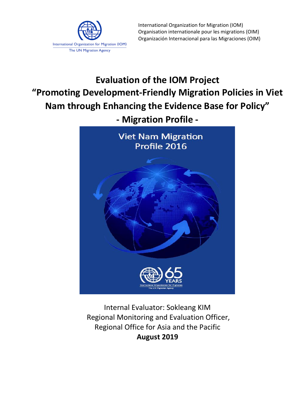

International Organization for Migration (IOM) Organisation internationale pour les migrations (OIM) Organización Internacional para las Migraciones (OIM)

# **Evaluation of the IOM Project "Promoting Development-Friendly Migration Policies in Viet Nam through Enhancing the Evidence Base for Policy" - Migration Profile -**

**Viet Nam Migration** Profile 2016

Internal Evaluator: Sokleang KIM Regional Monitoring and Evaluation Officer, Regional Office for Asia and the Pacific **August 2019**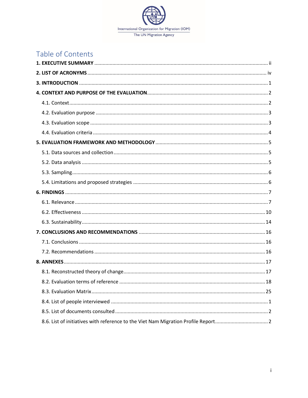

## Table of Contents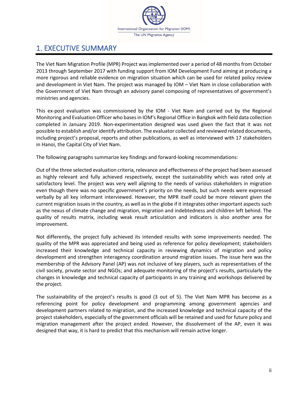

## <span id="page-2-0"></span>1. EXECUTIVE SUMMARY

The Viet Nam Migration Profile (MPR) Project was implemented over a period of 48 months from October 2013 through September 2017 with funding support from IOM Development Fund aiming at producing a more rigorous and reliable evidence on migration situation which can be used for related policy review and development in Viet Nam. The project was managed by IOM – Viet Nam in close collaboration with the Government of Viet Nam through an advisory panel composing of representatives of government's ministries and agencies.

This ex-post evaluation was commissioned by the IOM - Viet Nam and carried out by the Regional Monitoring and Evaluation Officer who basesin IOM's Regional Office in Bangkok with field data collection completed in January 2019. Non-experimentation designed was used given the fact that it was not possible to establish and/or identify attribution. The evaluator collected and reviewed related documents, including project's proposal, reports and other publications, as well as interviewed with 17 stakeholders in Hanoi, the Capital City of Viet Nam.

The following paragraphs summarize key findings and forward-looking recommendations:

Out of the three selected evaluation criteria, relevance and effectiveness of the project had been assessed as highly relevant and fully achieved respectively, except the sustainability which was rated only at satisfactory level. The project was very well aligning to the needs of various stakeholders in migration even though there was no specific government's priority on the needs, but such needs were expressed verbally by all key informant interviewed. However, the MPR itself could be more relevant given the current migration issues in the country, as well as in the globe if it integrates other important aspects such as the nexus of climate change and migration, migration and indebtedness and children left behind. The quality of results matrix, including weak result articulation and indicators is also another area for improvement.

Not differently, the project fully achieved its intended results with some improvements needed. The quality of the MPR was appreciated and being used as reference for policy development; stakeholders increased their knowledge and technical capacity in reviewing dynamics of migration and policy development and strengthen interagency coordination around migration issues. The issue here was the membership of the Advisory Panel (AP) was not inclusive of key players, such as representatives of the civil society, private sector and NGOs; and adequate monitoring of the project's results, particularly the changes in knowledge and technical capacity of participants in any training and workshops delivered by the project.

The sustainability of the project's results is good (3 out of 5). The Viet Nam MPR has become as a referencing point for policy development and programming among government agencies and development partners related to migration, and the increased knowledge and technical capacity of the project stakeholders, especially of the government officials will be retained and used for future policy and migration management after the project ended. However, the dissolvement of the AP, even it was designed that way, it is hard to predict that this mechanism will remain active longer.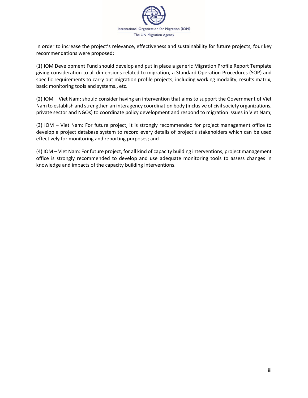

In order to increase the project's relevance, effectiveness and sustainability for future projects, four key recommendations were proposed:

(1) IOM Development Fund should develop and put in place a generic Migration Profile Report Template giving consideration to all dimensions related to migration, a Standard Operation Procedures (SOP) and specific requirements to carry out migration profile projects, including working modality, results matrix, basic monitoring tools and systems., etc.

(2) IOM – Viet Nam: should consider having an intervention that aims to support the Government of Viet Nam to establish and strengthen an interagency coordination body (inclusive of civil society organizations, private sector and NGOs) to coordinate policy development and respond to migration issues in Viet Nam;

(3) IOM – Viet Nam: For future project, it is strongly recommended for project management office to develop a project database system to record every details of project's stakeholders which can be used effectively for monitoring and reporting purposes; and

(4) IOM – Viet Nam: For future project, for all kind of capacity building interventions, project management office is strongly recommended to develop and use adequate monitoring tools to assess changes in knowledge and impacts of the capacity building interventions.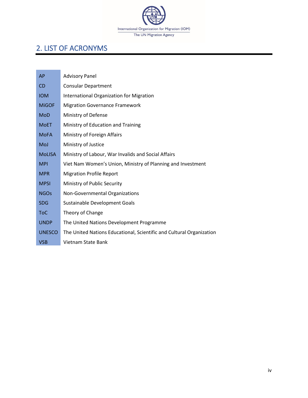

## <span id="page-4-0"></span>2. LIST OF ACRONYMS

| AP            | <b>Advisory Panel</b>                                                |
|---------------|----------------------------------------------------------------------|
| <b>CD</b>     | <b>Consular Department</b>                                           |
| <b>IOM</b>    | International Organization for Migration                             |
| <b>MIGOF</b>  | <b>Migration Governance Framework</b>                                |
| <b>MoD</b>    | Ministry of Defense                                                  |
| <b>MoET</b>   | Ministry of Education and Training                                   |
| <b>MoFA</b>   | Ministry of Foreign Affairs                                          |
| MoJ           | Ministry of Justice                                                  |
| <b>MoLISA</b> | Ministry of Labour, War Invalids and Social Affairs                  |
| <b>MPI</b>    | Viet Nam Women's Union, Ministry of Planning and Investment          |
| <b>MPR</b>    | <b>Migration Profile Report</b>                                      |
| <b>MPSI</b>   | Ministry of Public Security                                          |
| <b>NGOs</b>   | Non-Governmental Organizations                                       |
| <b>SDG</b>    | Sustainable Development Goals                                        |
| <b>ToC</b>    | Theory of Change                                                     |
| <b>UNDP</b>   | The United Nations Development Programme                             |
| <b>UNESCO</b> | The United Nations Educational, Scientific and Cultural Organization |
| <b>VSB</b>    | Vietnam State Bank                                                   |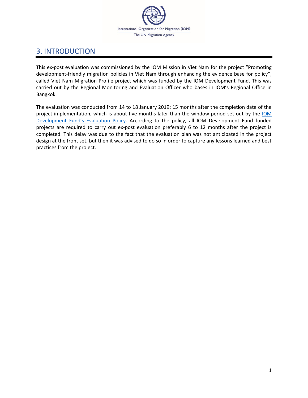

## <span id="page-5-0"></span>3. INTRODUCTION

This ex-post evaluation was commissioned by the IOM Mission in Viet Nam for the project "Promoting development-friendly migration policies in Viet Nam through enhancing the evidence base for policy", called Viet Nam Migration Profile project which was funded by the IOM Development Fund. This was carried out by the Regional Monitoring and Evaluation Officer who bases in IOM's Regional Office in Bangkok.

The evaluation was conducted from 14 to 18 January 2019; 15 months after the completion date of the project implementation, which is about five months later than the window period set out by the [IOM](https://developmentfund.iom.int/sites/default/files/documents/IOM%20Development%20Fund%20Post%20%20Project%20Evaluations%20OIG.pdf)  [Development Fund's](https://developmentfund.iom.int/sites/default/files/documents/IOM%20Development%20Fund%20Post%20%20Project%20Evaluations%20OIG.pdf) Evaluation Policy. According to the policy, all IOM Development Fund funded projects are required to carry out ex-post evaluation preferably 6 to 12 months after the project is completed. This delay was due to the fact that the evaluation plan was not anticipated in the project design at the front set, but then it was advised to do so in order to capture any lessons learned and best practices from the project.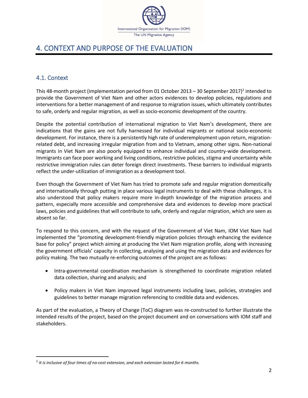

## <span id="page-6-0"></span>4. CONTEXT AND PURPOSE OF THE EVALUATION

### <span id="page-6-1"></span>4.1. Context

This 48-month project (implementation period from 01 October 2013 – 30 September 2017)<sup>1</sup> intended to provide the Government of Viet Nam and other actors evidences to develop policies, regulations and interventions for a better management of and response to migration issues, which ultimately contributes to safe, orderly and regular migration, as well as socio-economic development of the country.

Despite the potential contribution of international migration to Viet Nam's development, there are indications that the gains are not fully harnessed for individual migrants or national socio-economic development. For instance, there is a persistently high rate of underemployment upon return, migrationrelated debt, and increasing irregular migration from and to Vietnam, among other signs. Non-national migrants in Viet Nam are also poorly equipped to enhance individual and country-wide development. Immigrants can face poor working and living conditions, restrictive policies, stigma and uncertainty while restrictive immigration rules can deter foreign direct investments. These barriers to individual migrants reflect the under-utilization of immigration as a development tool.

Even though the Government of Viet Nam has tried to promote safe and regular migration domestically and internationally through putting in place various legal instruments to deal with these challenges, it is also understood that policy makers require more in-depth knowledge of the migration process and pattern, especially more accessible and comprehensive data and evidences to develop more practical laws, policies and guidelines that will contribute to safe, orderly and regular migration, which are seen as absent so far.

To respond to this concern, and with the request of the Government of Viet Nam, IOM Viet Nam had implemented the "promoting development-friendly migration policies through enhancing the evidence base for policy" project which aiming at producing the Viet Nam migration profile, along with increasing the government officials' capacity in collecting, analysing and using the migration data and evidences for policy making. The two mutually re-enforcing outcomes of the project are as follows:

- Intra-governmental coordination mechanism is strengthened to coordinate migration related data collection, sharing and analysis; and
- Policy makers in Viet Nam improved legal instruments including laws, policies, strategies and guidelines to better manage migration referencing to credible data and evidences.

As part of the evaluation, a Theory of Change (ToC) diagram was re-constructed to further illustrate the intended results of the project, based on the project document and on conversations with IOM staff and stakeholders.

<sup>1</sup> *It is inclusive of four times of no-cost extension, and each extension lasted for 6 months.*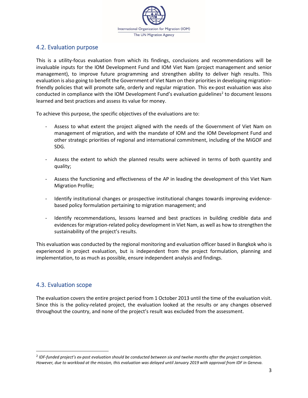

### <span id="page-7-0"></span>4.2. Evaluation purpose

This is a utility-focus evaluation from which its findings, conclusions and recommendations will be invaluable inputs for the IOM Development Fund and IOM Viet Nam (project management and senior management), to improve future programming and strengthen ability to deliver high results. This evaluation is also going to benefit the Government of Viet Nam on their priorities in developing migrationfriendly policies that will promote safe, orderly and regular migration. This ex-post evaluation was also conducted in compliance with the IOM Development Fund's evaluation guidelines<sup>2</sup> to document lessons learned and best practices and assess its value for money.

To achieve this purpose, the specific objectives of the evaluations are to:

- Assess to what extent the project aligned with the needs of the Government of Viet Nam on management of migration, and with the mandate of IOM and the IOM Development Fund and other strategic priorities of regional and international commitment, including of the MiGOF and SDG.
- Assess the extent to which the planned results were achieved in terms of both quantity and quality;
- Assess the functioning and effectiveness of the AP in leading the development of this Viet Nam Migration Profile;
- Identify institutional changes or prospective institutional changes towards improving evidencebased policy formulation pertaining to migration management; and
- Identify recommendations, lessons learned and best practices in building credible data and evidences for migration-related policy development in Viet Nam, as well as how to strengthen the sustainability of the project's results.

This evaluation was conducted by the regional monitoring and evaluation officer based in Bangkok who is experienced in project evaluation, but is independent from the project formulation, planning and implementation, to as much as possible, ensure independent analysis and findings.

### <span id="page-7-1"></span>4.3. Evaluation scope

The evaluation covers the entire project period from 1 October 2013 until the time of the evaluation visit. Since this is the policy-related project, the evaluation looked at the results or any changes observed throughout the country, and none of the project's result was excluded from the assessment.

<sup>2</sup> *IDF-funded project's ex-post evaluation should be conducted between six and twelve months after the project completion. However, due to workload at the mission, this evaluation was delayed until January 2019 with approval from IDF in Geneva.*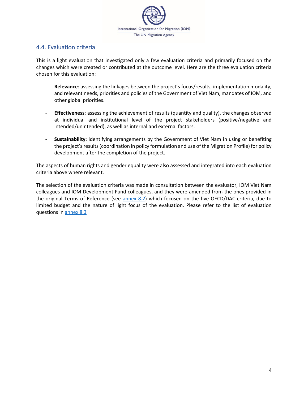

### <span id="page-8-0"></span>4.4. Evaluation criteria

This is a light evaluation that investigated only a few evaluation criteria and primarily focused on the changes which were created or contributed at the outcome level. Here are the three evaluation criteria chosen for this evaluation:

- **Relevance**: assessing the linkages between the project's focus/results, implementation modality, and relevant needs, priorities and policies of the Government of Viet Nam, mandates of IOM, and other global priorities.
- Effectiveness: assessing the achievement of results (quantity and quality), the changes observed at individual and institutional level of the project stakeholders (positive/negative and intended/unintended), as well as internal and external factors.
- **Sustainability**: identifying arrangements by the Government of Viet Nam in using or benefiting the project's results (coordination in policy formulation and use of the Migration Profile) for policy development after the completion of the project.

The aspects of human rights and gender equality were also assessed and integrated into each evaluation criteria above where relevant.

The selection of the evaluation criteria was made in consultation between the evaluator, IOM Viet Nam colleagues and IOM Development Fund colleagues, and they were amended from the ones provided in the original Terms of Reference (see [annex 8.2\)](#page-22-0) which focused on the five OECD/DAC criteria, due to limited budget and the nature of light focus of the evaluation. Please refer to the list of evaluation questions i[n annex 8.3](#page-29-0)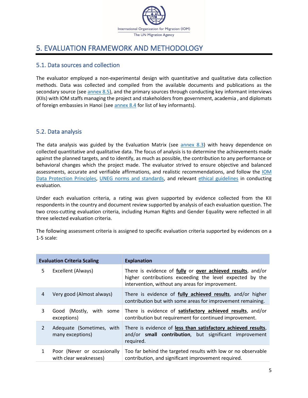

## <span id="page-9-0"></span>5. EVALUATION FRAMEWORK AND METHODOLOGY

### <span id="page-9-1"></span>5.1. Data sources and collection

The evaluator employed a non-experimental design with quantitative and qualitative data collection methods. Data was collected and compiled from the available documents and publications as the secondary source (see [annex 8.5\)](#page-33-0), and the primary sources through conducting key informant interviews (KIIs) with IOM staffs managing the project and stakeholders from government, academia , and diplomats of foreign embassies in Hanoi (se[e annex 8.4](#page-32-0) for list of key informants).

### <span id="page-9-2"></span>5.2. Data analysis

The data analysis was guided by the Evaluation Matrix (see [annex 8.3\)](#page-29-0) with heavy dependence on collected quantitative and qualitative data. The focus of analysis is to determine the achievements made against the planned targets, and to identify, as much as possible, the contribution to any performance or behavioral changes which the project made. The evaluator strived to ensure objective and balanced assessments, accurate and verifiable affirmations, and realistic recommendations, and follow the [IOM](https://dmsportal/PublishedDocuments/Instructions/IOM%20Data%20Protection%20Principles%20FINAL.pdf#search=IOM%20Data%20Protection%20Principles)  [Data Protection Principles,](https://dmsportal/PublishedDocuments/Instructions/IOM%20Data%20Protection%20Principles%20FINAL.pdf#search=IOM%20Data%20Protection%20Principles) [UNEG norms and standards,](https://www.iom.int/sites/default/files/about-iom/evaluation/UNEG-Norms-Standards-for-Evaluation-2016.pdf) and relevant [ethical guidelines](https://www.iom.int/sites/default/files/about-iom/evaluation/UNEG-Ethical-Guidelines-2008.pdf) in conducting evaluation.

Under each evaluation criteria, a rating was given supported by evidence collected from the KII respondents in the country and document review supported by analysis of each evaluation question. The two cross-cutting evaluation criteria, including Human Rights and Gender Equality were reflected in all three selected evaluation criteria.

The following assessment criteria is assigned to specific evaluation criteria supported by evidences on a 1-5 scale:

|                | <b>Evaluation Criteria Scaling</b>                    | <b>Explanation</b>                                                                                                                                                          |
|----------------|-------------------------------------------------------|-----------------------------------------------------------------------------------------------------------------------------------------------------------------------------|
| 5              | Excellent (Always)                                    | There is evidence of fully or over achieved results, and/or<br>higher contributions exceeding the level expected by the<br>intervention, without any areas for improvement. |
| 4              | Very good (Almost always)                             | There is evidence of fully achieved results, and/or higher<br>contribution but with some areas for improvement remaining.                                                   |
| 3              | Good (Mostly, with some<br>exceptions)                | There is evidence of satisfactory achieved results, and/or<br>contribution but requirement for continued improvement.                                                       |
| $\mathfrak{D}$ | Adequate (Sometimes, with<br>many exceptions)         | There is evidence of less than satisfactory achieved results,<br>and/or small contribution, but significant improvement<br>required.                                        |
| 1              | Poor (Never or occasionally<br>with clear weaknesses) | Too far behind the targeted results with low or no observable<br>contribution, and significant improvement required.                                                        |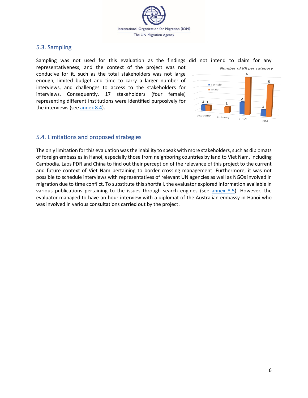

### <span id="page-10-0"></span>5.3. Sampling

Sampling was not used for this evaluation as the findings did not intend to claim for any representativeness, and the context of the project was not conducive for it, such as the total stakeholders was not large enough, limited budget and time to carry a larger number of interviews, and challenges to access to the stakeholders for interviews. Consequently, 17 stakeholders (four female) representing different institutions were identified purposively for the interviews (se[e annex 8.4\)](#page-32-0).



### <span id="page-10-1"></span>5.4. Limitations and proposed strategies

The only limitation for this evaluation was the inability to speak with more stakeholders, such as diplomats of foreign embassies in Hanoi, especially those from neighboring countries by land to Viet Nam, including Cambodia, Laos PDR and China to find out their perception of the relevance of this project to the current and future context of Viet Nam pertaining to border crossing management. Furthermore, it was not possible to schedule interviews with representatives of relevant UN agencies as well as NGOs involved in migration due to time conflict. To substitute this shortfall, the evaluator explored information available in various publications pertaining to the issues through search engines (see [annex 8.5\)](#page-33-0). However, the evaluator managed to have an-hour interview with a diplomat of the Australian embassy in Hanoi who was involved in various consultations carried out by the project.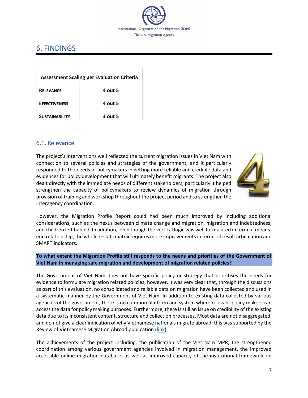

## <span id="page-11-0"></span>6. FINDINGS

| <b>Assessment Scaling per Evaluation Criteria</b> |         |  |  |  |  |  |
|---------------------------------------------------|---------|--|--|--|--|--|
| <b>RELEVANCE</b>                                  | 4 out 5 |  |  |  |  |  |
| <b>EFFECTIVENESS</b>                              | 4 out 5 |  |  |  |  |  |
| <b>SUSTAINABILITY</b>                             | 3 out 5 |  |  |  |  |  |

### <span id="page-11-1"></span>6.1. Relevance

The project's interventions well reflected the current migration issues in Viet Nam with connection to several policies and strategies of the government, and it particularly responded to the needs of policymakers in getting more reliable and credible data and evidences for policy development that will ultimately benefit migrants. The project also dealt directly with the immediate needs of different stakeholders, particularly it helped strengthen the capacity of policymakers to review dynamics of migration through provision of training and workshop throughout the project period and to strengthen the interagency coordination.



However, the Migration Profile Report could had been much improved by including additional considerations, such as the nexus between climate change and migration, migration and indebtedness, and children left behind. In addition, even though the vertical logic was well formulated in term of meansend relationship, the whole results matrix requires more improvements in terms of result articulation and SMART indicators.

#### **To what extent the Migration Profile still responds to the needs and priorities of the Government of Viet Nam in managing safe migration and development of migration related policies?**

The Government of Viet Nam does not have specific policy or strategy that prioritises the needs for evidence to formulate migration related policies; however, it was very clear that, through the discussions as part of this evaluation, no consolidated and reliable data on migration have been collected and used in a systematic manner by the Government of Viet Nam. In addition to existing data collected by various agencies of the government, there is no common platform and system where relevant policy makers can access the data for policy making purposes. Furthermore, there is still an issue on credibility of the existing data due to its inconsistent content, structure and collection processes. Most data are not disaggregated, and do not give a clear indication of why Vietnamese nationals migrate abroad; this was supported by the Review of Vietnamese Migration Abroad publication [\(link\)](http://www.un.org.vn/en/publications/cat_view/126-un-publications-by-agency/102-iom-publications.html).

The achievements of the project including, the publication of the Viet Nam MPR, the strengthened coordination among various government agencies involved in migration management, the improved accessible online migration database, as well as improved capacity of the institutional framework on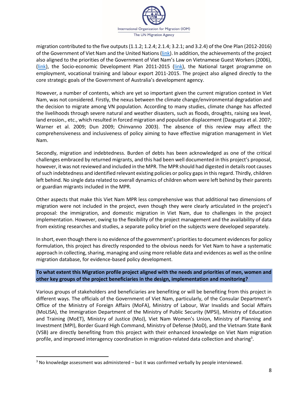

migration contributed to the five outputs (1.1.2; 1.2.4; 2.1.4; 3.2.1; and 3.2.4) of the One Plan (2012-2016) of the Government of Viet Nam and the United Nations [\(link\)](http://www.un.org.vn/en/publications/doc_details/278-the-one-plan-2012-2016-between-the-government-of-the-socialist-republic-of-viet-nam-and-the-united-nations-in-viet-nam.html). In addition, the achievements of the project also aligned to the priorities of the Government of Viet Nam's Law on Vietnamese Guest Workers (2006), [\(link\)](http://un-act.org/publication/viet-nams-law-on-vietnamese-guest-workers-2006/), the Socio-economic Development Plan 2011-2015 [\(link\)](http://pubdocs.worldbank.org/en/839361477533488479/Vietnam-SEDP-2016-2020.pdf), the National target programme on employment, vocational training and labour export 2011-2015. The project also aligned directly to the core strategic goals of the Government of Australia's development agency.

However, a number of contents, which are yet so important given the current migration context in Viet Nam, was not considered. Firstly, the nexus between the climate change/environmental degradation and the decision to migrate among VN population. According to many studies, climate change has affected the livelihoods through severe natural and weather disasters, such as floods, droughts, raising sea level, land erosion., etc., which resulted in forced migration and population displacement (Dasgupta et al. 2007; Warner et al. 2009; Dun 2009; Chinvanno 2003). The absence of this review may affect the comprehensiveness and inclusiveness of policy aiming to have effective migration management in Viet Nam.

Secondly, migration and indebtedness. Burden of debts has been acknowledged as one of the critical challenges embraced by returned migrants, and this had been well documented in this project's proposal, however, it was not reviewed and included in the MPR. The MPR should had digested in details root causes of such indebtedness and identified relevant existing policies or policy gaps in this regard. Thirdly, children left behind. No single data related to overall dynamics of children whom were left behind by their parents or guardian migrants included in the MPR.

Other aspects that make this Viet Nam MPR less comprehensive was that additional two dimensions of migration were not included in the project, even though they were clearly articulated in the project's proposal: the immigration, and domestic migration in Viet Nam, due to challenges in the project implementation. However, owing to the flexibility of the project management and the availability of data from existing researches and studies, a separate policy brief on the subjects were developed separately.

In short, even though there is no evidence of the government's priorities to document evidences for policy formulation, this project has directly responded to the obvious needs for Viet Nam to have a systematic approach in collecting, sharing, managing and using more reliable data and evidences as well as the online migration database, for evidence-based policy development.

**To what extent this Migration profile project aligned with the needs and priorities of men, women and other key groups of the project beneficiaries in the design, implementation and monitoring?**

Various groups of stakeholders and beneficiaries are benefiting or will be benefiting from this project in different ways. The officials of the Government of Viet Nam, particularly, of the Consular Department's Office of the Ministry of Foreign Affairs (MoFA), Ministry of Labour, War Invalids and Social Affairs (MoLISA), the Immigration Department of the Ministry of Public Security (MPSI), Ministry of Education and Training (MoET), Ministry of Justice (MoJ), Viet Nam Women's Union, Ministry of Planning and Investment (MPI), Border Guard High Command, Ministry of Defense (MoD), and the Vietnam State Bank (VSB) are directly benefiting from this project with their enhanced knowledge on Viet Nam migration profile, and improved interagency coordination in migration-related data collection and sharing<sup>3</sup>.

<sup>&</sup>lt;sup>3</sup> No knowledge assessment was administered – but it was confirmed verbally by people interviewed.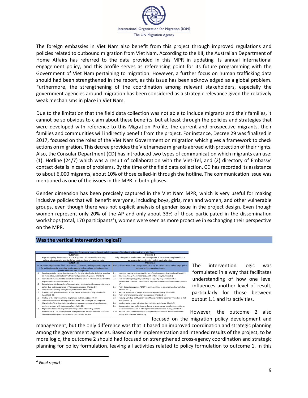

The foreign embassies in Viet Nam also benefit from this project through improved regulations and policies related to outbound migration from Viet Nam. According to the KII, the Australian Department of Home Affairs has referred to the data provided in this MPR in updating its annual international engagement policy, and this profile serves as referencing point for its future programming with the Government of Viet Nam pertaining to migration. However, a further focus on human trafficking data should had been strengthened in the report, as this issue has been acknowledged as a global problem. Furthermore, the strengthening of the coordination among relevant stakeholders, especially the government agencies around migration has been considered as a strategic relevance given the relatively weak mechanisms in place in Viet Nam.

Due to the limitation that the field data collection was not able to include migrants and their families, it cannot be so obvious to claim about these benefits, but at least through the policies and strategies that were developed with reference to this Migration Profile, the current and prospective migrants, their families and communities will indirectly benefit from the project. For instance, Decree 29 was finalized in 2017, focused on the roles of the Viet Nam Government on migration which gives a framework to check actions on migration. This decree provides the Vietnamese migrants abroad with protection of their rights. Also, the Consular Department (CD) has introduced two types of communication which migrants can use: (1). Hotline (24/7) which was a result of collaboration with the Viet-Tel, and (2) directory of Embassy' contact details in case of problems. By the time of the field data collection, CD has recorded its assistance to about 6,000 migrants, about 10% of those called-in through the hotline. The communication issue was mentioned as one of the issues in the MPR in both phases.

Gender dimension has been precisely captured in the Viet Nam MPR, which is very useful for making inclusive policies that will benefit everyone, including boys, girls, men and women, and other vulnerable groups, even though there was not explicit analysis of gender issue in the project design. Even though women represent only 20% of the AP and only about 33% of those participated in the dissemination workshops (total, 170 participants<sup>4</sup>), women were seen as more proactive in exchanging their perspective on the MPR.

#### **Was the vertical intervention logical?**



The intervention logic was formulated in a way that facilitates understanding of how one level influences another level of result, particularly for those between output 1.1 and its activities.

However, the outcome 2 also focused on the migration policy development and

management, but the only difference was that it based on improved coordination and strategic planning among the government agencies. Based on the implementation and intended results of the project, to be more logic, the outcome 2 should had focused on strengthened cross-agency coordination and strategic planning for policy formulation, leaving all activities related to policy formulation to outcome 1. In this

<sup>&</sup>lt;sup>4</sup> Final report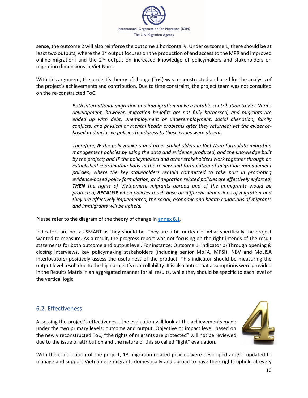

sense, the outcome 2 will also reinforce the outcome 1 horizontally. Under outcome 1, there should be at least two outputs; where the 1<sup>st</sup> output focuses on the production of and access to the MPR and improved online migration; and the 2<sup>nd</sup> output on increased knowledge of policymakers and stakeholders on migration dimensions in Viet Nam.

With this argument, the project's theory of change (ToC) was re-constructed and used for the analysis of the project's achievements and contribution. Due to time constraint, the project team was not consulted on the re-constructed ToC.

> *Both international migration and immigration make a notable contribution to Viet Nam's development, however, migration benefits are not fully harnessed, and migrants are ended up with debt, unemployment or underemployment, social alienation, family conflicts, and physical or mental health problems after they returned; yet the evidencebased and inclusive policies to address to these issues were absent.*

> *Therefore, IF the policymakers and other stakeholders in Viet Nam formulate migration management policies by using the data and evidence produced, and the knowledge built by the project; and IF the policymakers and other stakeholders work together through an established coordinating body in the review and formulation of migration management policies; where the key stakeholders remain committed to take part in promoting evidence-based policy formulation, and migration related policies are effectively enforced; THEN the rights of Vietnamese migrants abroad and of the immigrants would be protected; BECAUSE when policies touch base on different dimensions of migration and they are effectively implemented, the social, economic and health conditions of migrants and immigrants will be upheld.*

Please refer to the diagram of the theory of change in [annex 8.1.](#page-21-1)

Indicators are not as SMART as they should be. They are a bit unclear of what specifically the project wanted to measure. As a result, the progress report was not focusing on the right intends of the result statements for both outcome and output level. For instance: Outcome 1: indicator b) Through opening & closing interviews, key policymaking stakeholders (including senior MoFA, MPSI), NBV and MoLISA interlocutors) positively assess the usefulness of the product. This indicator should be measuring the output level result due to the high project's controllability. It is also noted that assumptions were provided in the Results Matrix in an aggregated manner for all results, while they should be specific to each level of the vertical logic.

### <span id="page-14-0"></span>6.2. Effectiveness

Assessing the project's effectiveness, the evaluation will look at the achievements made under the two primary levels; outcome and output. Objective or impact level, based on the newly reconstructed ToC, "the rights of migrants are protected" will not be reviewed due to the issue of attribution and the nature of this so called "light" evaluation.



With the contribution of the project, 13 migration-related policies were developed and/or updated to manage and support Vietnamese migrants domestically and abroad to have their rights upheld at every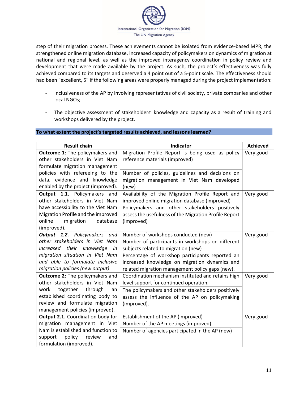

step of their migration process. These achievements cannot be isolated from evidence-based MPR, the strengthened online migration database, increased capacity of policymakers on dynamics of migration at national and regional level, as well as the improved interagency coordination in policy review and development that were made available by the project. As such, the project's effectiveness was fully achieved compared to its targets and deserved a 4 point out of a 5-point scale. The effectiveness should had been "excellent, 5" if the following areas were properly managed during the project implementation:

- Inclusiveness of the AP by involving representatives of civil society, private companies and other local NGOs;
- The objective assessment of stakeholders' knowledge and capacity as a result of training and workshops delivered by the project.

#### **To what extent the project's targeted results achieved, and lessons learned?**

| <b>Result chain</b>                                                                                                                                                                                                    | Indicator                                                                                                                                                                                                                                                                             | <b>Achieved</b> |
|------------------------------------------------------------------------------------------------------------------------------------------------------------------------------------------------------------------------|---------------------------------------------------------------------------------------------------------------------------------------------------------------------------------------------------------------------------------------------------------------------------------------|-----------------|
| <b>Outcome 1:</b> The policymakers and<br>other stakeholders in Viet Nam<br>formulate migration management                                                                                                             | Migration Profile Report is being used as policy<br>reference materials (improved)                                                                                                                                                                                                    | Very good       |
| policies with refereeing to the<br>data, evidence and knowledge<br>enabled by the project (improved).                                                                                                                  | Number of policies, guidelines and decisions on<br>migration management in Viet Nam developed<br>(new)                                                                                                                                                                                |                 |
| Output 1.1. Policymakers and<br>other stakeholders in Viet Nam<br>have accessibility to the Viet Nam<br>Migration Profile and the improved<br>database<br>online<br>migration<br>(improved).                           | Availability of the Migration Profile Report and<br>improved online migration database (improved)<br>Policymakers and other stakeholders positively<br>assess the usefulness of the Migration Profile Report<br>(improved)                                                            | Very good       |
| Output 1.2. Policymakers and<br>other stakeholders in Viet Nam<br>increased their knowledge<br>in<br>migration situation in Viet Nam<br>and able to formulate inclusive<br>migration policies (new output)             | Number of workshops conducted (new)<br>Number of participants in workshops on different<br>subjects related to migration (new)<br>Percentage of workshop participants reported an<br>increased knowledge on migration dynamics and<br>related migration management policy gaps (new). | Very good       |
| <b>Outcome 2:</b> The policymakers and<br>other stakeholders in Viet Nam<br>together<br>through<br>work<br>an<br>established coordinating body to<br>review and formulate migration<br>management policies (improved). | Coordination mechanism instituted and retains high<br>level support for continued operation.<br>The policymakers and other stakeholders positively<br>assess the influence of the AP on policymaking<br>(improved).                                                                   | Very good       |
| Output 2.1. Coordination body for<br>migration management in Viet<br>Nam is established and function to<br>policy<br>support<br>review<br>and<br>formulation (improved).                                               | Establishment of the AP (improved)<br>Number of the AP meetings (improved)<br>Number of agencies participated in the AP (new)                                                                                                                                                         | Very good       |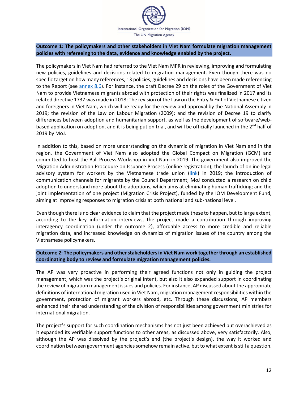

#### **Outcome 1: The policymakers and other stakeholders in Viet Nam formulate migration management policies with refereeing to the data, evidence and knowledge enabled by the project.**

The policymakers in Viet Nam had referred to the Viet Nam MPR in reviewing, improving and formulating new policies, guidelines and decisions related to migration management. Even though there was no specific target on how many references, 13 policies, guidelines and decisions have been made referencing to the Report (see [annex 8.6\)](#page-33-1). For instance, the draft Decree 29 on the roles of the Government of Viet Nam to provide Vietnamese migrants abroad with protection of their rights was finalized in 2017 and its related directive 1737 was made in 2018; The revision of the Law on the Entry & Exit of Vietnamese citizen and foreigners in Viet Nam, which will be ready for the review and approval by the National Assembly in 2019; the revision of the Law on Labour Migration (2009); and the revision of Decree 19 to clarify differences between adoption and humanitarian support, as well as the development of software/webbased application on adoption, and it is being put on trial, and will be officially launched in the 2<sup>nd</sup> half of 2019 by MoJ.

In addition to this, based on more understanding on the dynamic of migration in Viet Nam and in the region, the Government of Viet Nam also adopted the Global Compact on Migration (GCM) and committed to host the Bali Process Workshop in Viet Nam in 2019. The government also improved the Migration Administration Procedure on Issuance Process (online registration); the launch of online legal advisory system for workers by the Vietnamese trade union [\(link\)](http://www.mekongmigration.org/?p=6987) in 2019; the introduction of communication channels for migrants by the Council Department; MoJ conducted a research on child adoption to understand more about the adoptions, which aims at eliminating human trafficking; and the joint implementation of one project (Migration Crisis Project), funded by the IOM Development Fund, aiming at improving responses to migration crisis at both national and sub-national level.

Even though there is no clear evidence to claim that the project made these to happen, but to large extent, according to the key information interviews, the project made a contribution through improving interagency coordination (under the outcome 2), affordable access to more credible and reliable migration data, and increased knowledge on dynamics of migration issues of the country among the Vietnamese policymakers.

#### **Outcome 2: The policymakers and other stakeholders in Viet Nam work together through an established coordinating body to review and formulate migration management policies.**

The AP was very proactive in performing their agreed functions not only in guiding the project management, which was the project's original intent, but also it also expanded support in coordinating the review of migration management issues and policies. For instance, AP discussed about the appropriate definitions of international migration used in Viet Nam, migration management responsibilities within the government, protection of migrant workers abroad, etc. Through these discussions, AP members enhanced their shared understanding of the division of responsibilities among government ministries for international migration.

The project's support for such coordination mechanisms has not just been achieved but overachieved as it expanded its verifiable support functions to other areas, as discussed above, very satisfactorily. Also, although the AP was dissolved by the project's end (the project's design), the way it worked and coordination between government agencies somehow remain active, but to what extent is still a question.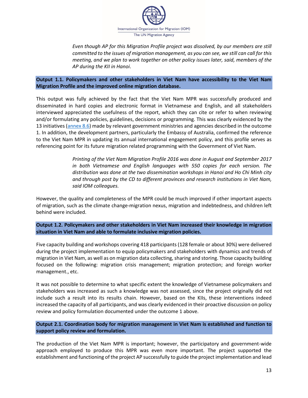

*Even though AP for this Migration Profile project was dissolved, by our members are still committed to the issues of migration management, as you can see, we still can call for this meeting, and we plan to work together on other policy issues later, said, members of the AP during the KII in Hanoi*.

#### **Output 1.1. Policymakers and other stakeholders in Viet Nam have accessibility to the Viet Nam Migration Profile and the improved online migration database.**

This output was fully achieved by the fact that the Viet Nam MPR was successfully produced and disseminated in hard copies and electronic format in Vietnamese and English, and all stakeholders interviewed appreciated the usefulness of the report, which they can cite or refer to when reviewing and/or formulating any policies, guidelines, decisions or programming. This was clearly evidenced by the 13 initiatives [\(annex 8.6\)](#page-33-1) made by relevant government ministries and agencies described in the outcome 1. In addition, the development partners, particularly the Embassy of Australia, confirmed the reference to the Viet Nam MPR in updating its annual international engagement policy, and this profile serves as referencing point for its future migration related programming with the Government of Viet Nam.

> *Printing of the Viet Nam Migration Profile 2016 was done in August and September 2017 in both Vietnamese and English languages with 550 copies for each version. The distribution was done at the two dissemination workshops in Hanoi and Ho Chi Minh city and through post by the CD to different provinces and research institutions in Viet Nam, said IOM colleagues.*

However, the quality and completeness of the MPR could be much improved if other important aspects of migration, such as the climate change-migration nexus, migration and indebtedness, and children left behind were included.

**Output 1.2. Policymakers and other stakeholders in Viet Nam increased their knowledge in migration situation in Viet Nam and able to formulate inclusive migration policies.**

Five capacity building and workshops covering 418 participants (128 female or about 30%) were delivered during the project implementation to equip policymakers and stakeholders with dynamics and trends of migration in Viet Nam, as well as on migration data collecting, sharing and storing. Those capacity building focused on the following: migration crisis management; migration protection; and foreign worker management., etc.

It was not possible to determine to what specific extent the knowledge of Vietnamese policymakers and stakeholders was increased as such a knowledge was not assessed, since the project originally did not include such a result into its results chain. However, based on the KIIs, these interventions indeed increased the capacity of all participants, and was clearly evidenced in their proactive discussion on policy review and policy formulation documented under the outcome 1 above.

**Output 2.1. Coordination body for migration management in Viet Nam is established and function to support policy review and formulation.**

The production of the Viet Nam MPR is important; however, the participatory and government-wide approach employed to produce this MPR was even more important. The project supported the establishment and functioning of the project AP successfully to guide the project implementation and lead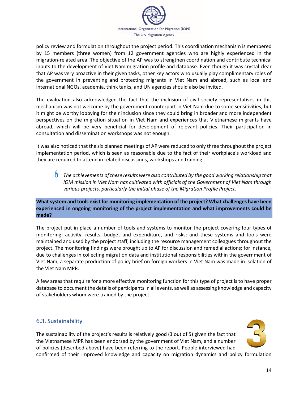

policy review and formulation throughout the project period. This coordination mechanism is membered by 15 members (three women) from 12 government agencies who are highly experienced in the migration-related area. The objective of the AP was to strengthen coordination and contribute technical inputs to the development of Viet Nam migration profile and database. Even though it was crystal clear that AP was very proactive in their given tasks, other key actors who usually play complimentary roles of the government in preventing and protecting migrants in Viet Nam and abroad, such as local and international NGOs, academia, think tanks, and UN agencies should also be invited.

The evaluation also acknowledged the fact that the inclusion of civil society representatives in this mechanism was not welcome by the government counterpart in Viet Nam due to some sensitivities, but it might be worthy lobbying for their inclusion since they could bring in broader and more independent perspectives on the migration situation in Viet Nam and experiences that Vietnamese migrants have abroad, which will be very beneficial for development of relevant policies. Their participation in consultation and dissemination workshops was not enough.

It was also noticed that the six planned meetings of AP were reduced to only three throughout the project implementation period, which is seen as reasonable due to the fact of their workplace's workload and they are required to attend in related discussions, workshops and training.

 *The achievements of these results were also contributed by the good working relationship that IOM mission in Viet Nam has cultivated with officials of the Government of Viet Nam through various projects, particularly the initial phase of the Migration Profile Project.*

**What system and tools exist for monitoring implementation of the project? What challenges have been experienced in ongoing monitoring of the project implementation and what improvements could be made?**

The project put in place a number of tools and systems to monitor the project covering four types of monitoring: activity, results, budget and expenditure, and risks; and these systems and tools were maintained and used by the project staff, including the resource management colleagues throughout the project. The monitoring findings were brought up to AP for discussion and remedial actions; for instance, due to challenges in collecting migration data and institutional responsibilities within the government of Viet Nam, a separate production of policy brief on foreign workers in Viet Nam was made in isolation of the Viet Nam MPR.

A few areas that require for a more effective monitoring function for this type of project is to have proper database to document the details of participants in all events, as well as assessing knowledge and capacity of stakeholders whom were trained by the project.

### <span id="page-18-0"></span>6.3. Sustainability

The sustainability of the project's results is relatively good (3 out of 5) given the fact that the Vietnamese MPR has been endorsed by the government of Viet Nam, and a number of policies (described above) have been referring to the report. People interviewed had



confirmed of their improved knowledge and capacity on migration dynamics and policy formulation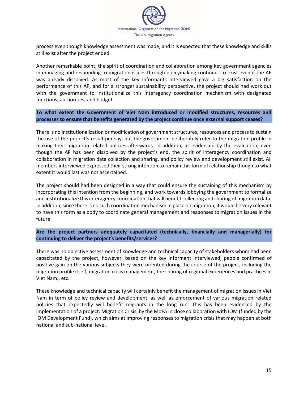

process even though knowledge assessment was made, and it is expected that these knowledge and skills still exist after the project ended.

Another remarkable point, the spirit of coordination and collaboration among key government agencies in managing and responding to migration issues through policymaking continues to exist even if the AP was already dissolved. As most of the key informants interviewed gave a big satisfaction on the performance of this AP, and for a stronger sustainability perspective, the project should had work out with the government to institutionalize this interagency coordination mechanism with designated functions, authorities, and budget.

**To what extent the Government of Viet Nam introduced or modified structures, resources and processes to ensure that benefits generated by the project continue once external support ceases?**

There is no institutionalization or modification of government structures, resources and process to sustain the use of the project's result per say, but the government deliberately refer to the migration profile in making their migration related policies afterwards. In addition, as evidenced by the evaluation, even though the AP has been dissolved by the project's end, the spirit of interagency coordination and collaboration in migration data collection and sharing, and policy review and development still exist. All members interviewed expressed their strong intention to remain this form of relationship though to what extent it would last was not ascertained.

The project should had been designed in a way that could ensure the sustaining of this mechanism by incorporating this intention from the beginning, and work towards lobbying the government to formalize and institutionalize this interagency coordination that will benefit collecting and sharing of migration data. In addition, since there is no such coordination mechanism in place on migration, it would be very relevant to have this form as a body to coordinate general management and responses to migration issues in the future.

**Are the project partners adequately capacitated (technically, financially and managerially) for continuing to deliver the project's benefits/services?** 

There was no objective assessment of knowledge and technical capacity of stakeholders whom had been capacitated by the project, however, based on the key informant interviewed, people confirmed of positive gain on the various subjects they were oriented during the course of the project, including the migration profile itself, migration crisis management, the sharing of regional experiences and practices in Viet Nam., etc.

These knowledge and technical capacity will certainly benefit the management of migration issues in Viet Nam in term of policy review and development, as well as enforcement of various migration related policies that expectedly will benefit migrants in the long run. This has been evidenced by the implementation of a project: Migration Crisis, by the MoFA in close collaboration with IOM (funded by the IOM Development Fund), which aims at improving responses to migration crisis that may happen at both national and sub-national level.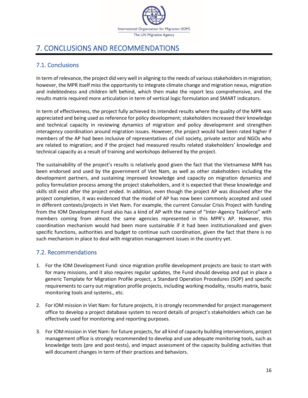

## <span id="page-20-0"></span>7. CONCLUSIONS AND RECOMMENDATIONS

### <span id="page-20-1"></span>7.1. Conclusions

In term of relevance, the project did very well in aligning to the needs of various stakeholders in migration; however, the MPR itself miss the opportunity to integrate climate change and migration nexus, migration and indebtedness and children left behind, which then make the report less comprehensive, and the results matrix required more articulation in term of vertical logic formulation and SMART indicators.

In term of effectiveness, the project fully achieved its intended results where the quality of the MPR was appreciated and being used as reference for policy development; stakeholders increased their knowledge and technical capacity in reviewing dynamics of migration and policy development and strengthen interagency coordination around migration issues. However, the project would had been rated higher if members of the AP had been inclusive of representatives of civil society, private sector and NGOs who are related to migration; and if the project had measured results related stakeholders' knowledge and technical capacity as a result of training and workshops delivered by the project.

The sustainability of the project's results is relatively good given the fact that the Vietnamese MPR has been endorsed and used by the government of Viet Nam, as well as other stakeholders including the development partners, and sustaining improved knowledge and capacity on migration dynamics and policy formulation process among the project stakeholders, and it is expected that these knowledge and skills still exist after the project ended. In addition, even though the project AP was dissolved after the project completion, it was evidenced that the model of AP has now been commonly accepted and used in different contexts/projects in Viet Nam. For example, the current Consular Crisis Project with funding from the IOM Development Fund also has a kind of AP with the name of "Inter-Agency Taskforce" with members coming from almost the same agencies represented in this MPR's AP. However, this coordination mechanism would had been more sustainable if it had been institutionalized and given specific functions, authorities and budget to continue such coordination, given the fact that there is no such mechanism in place to deal with migration management issues in the country yet.

### <span id="page-20-2"></span>7.2. Recommendations

- 1. For the IOM Development Fund: since migration profile development projects are basic to start with for many missions, and it also requires regular updates, the Fund should develop and put in place a generic Template for Migration Profile project, a Standard Operation Procedures (SOP) and specific requirements to carry out migration profile projects, including working modality, results matrix, basic monitoring tools and systems., etc.
- 2. For IOM mission in Viet Nam: for future projects, it is strongly recommended for project management office to develop a project database system to record details of project's stakeholders which can be effectively used for monitoring and reporting purposes.
- 3. For IOM mission in Viet Nam: for future projects, for all kind of capacity building interventions, project management office is strongly recommended to develop and use adequate monitoring tools, such as knowledge tests (pre and post-tests), and impact assessment of the capacity building activities that will document changes in term of their practices and behaviors.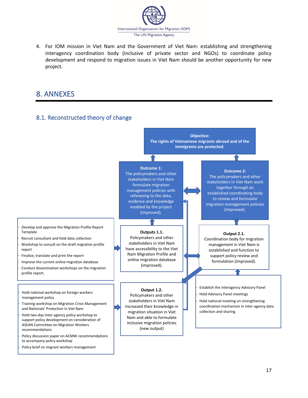

4. For IOM mission in Viet Nam and the Government of Viet Nam: establishing and strengthening interagency coordination body (inclusive of private sector and NGOs) to coordinate policy development and respond to migration issues in Viet Nam should be another opportunity for new project.

## <span id="page-21-1"></span><span id="page-21-0"></span>8. ANNEXES

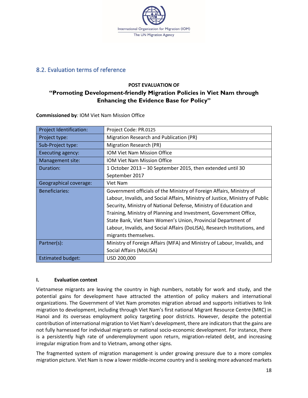

### <span id="page-22-0"></span>8.2. Evaluation terms of reference

### **POST EVALUATION OF "Promoting Development-friendly Migration Policies in Viet Nam through Enhancing the Evidence Base for Policy"**

**Commissioned by***:* IOM Viet Nam Mission Office

| <b>Project Identification:</b> | Project Code: PR.0125                                                         |  |  |  |
|--------------------------------|-------------------------------------------------------------------------------|--|--|--|
| Project type:                  | Migration Research and Publication (PR)                                       |  |  |  |
| Sub-Project type:              | Migration Research (PR)                                                       |  |  |  |
| Executing agency:              | <b>IOM Viet Nam Mission Office</b>                                            |  |  |  |
| Management site:               | <b>IOM Viet Nam Mission Office</b>                                            |  |  |  |
| Duration:                      | 1 October 2013 - 30 September 2015, then extended until 30                    |  |  |  |
|                                | September 2017                                                                |  |  |  |
| Geographical coverage:         | Viet Nam                                                                      |  |  |  |
| <b>Beneficiaries:</b>          | Government officials of the Ministry of Foreign Affairs, Ministry of          |  |  |  |
|                                | Labour, Invalids, and Social Affairs, Ministry of Justice, Ministry of Public |  |  |  |
|                                | Security, Ministry of National Defense, Ministry of Education and             |  |  |  |
|                                | Training, Ministry of Planning and Investment, Government Office,             |  |  |  |
|                                | State Bank, Viet Nam Women's Union, Provincial Department of                  |  |  |  |
|                                | Labour, Invalids, and Social Affairs (DoLISA), Research Institutions, and     |  |  |  |
|                                | migrants themselves.                                                          |  |  |  |
| Partner(s):                    | Ministry of Foreign Affairs (MFA) and Ministry of Labour, Invalids, and       |  |  |  |
|                                | Social Affairs (MoLISA)                                                       |  |  |  |
| <b>Estimated budget:</b>       | USD 200,000                                                                   |  |  |  |

#### **I. Evaluation context**

Vietnamese migrants are leaving the country in high numbers, notably for work and study, and the potential gains for development have attracted the attention of policy makers and international organizations. The Government of Viet Nam promotes migration abroad and supports initiatives to link migration to development, including through Viet Nam's first national Migrant Resource Centre (MRC) in Hanoi and its overseas employment policy targeting poor districts. However, despite the potential contribution of international migration to Viet Nam's development, there are indicators that the gains are not fully harnessed for individual migrants or national socio-economic development. For instance, there is a persistently high rate of underemployment upon return, migration-related debt, and increasing irregular migration from and to Vietnam, among other signs.

The fragmented system of migration management is under growing pressure due to a more complex migration picture. Viet Nam is now a lower middle-income country and is seeking more advanced markets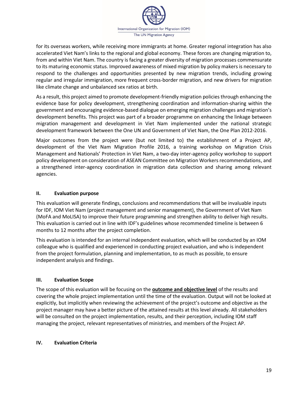

for its overseas workers, while receiving more immigrants at home. Greater regional integration has also accelerated Viet Nam's links to the regional and global economy. These forces are changing migration to, from and within Viet Nam. The country is facing a greater diversity of migration processes commensurate to its maturing economic status. Improved awareness of mixed migration by policy makers is necessary to respond to the challenges and opportunities presented by new migration trends, including growing regular and irregular immigration, more frequent cross-border migration, and new drivers for migration like climate change and unbalanced sex ratios at birth.

As a result, this project aimed to promote development-friendly migration policies through enhancing the evidence base for policy development, strengthening coordination and information-sharing within the government and encouraging evidence-based dialogue on emerging migration challenges and migration's development benefits. This project was part of a broader programme on enhancing the linkage between migration management and development in Viet Nam implemented under the national strategic development framework between the One UN and Government of Viet Nam, the One Plan 2012-2016.

Major outcomes from the project were (but not limited to) the establishment of a Project AP, development of the Viet Nam Migration Profile 2016, a training workshop on Migration Crisis Management and Nationals' Protection in Viet Nam, a two-day inter-agency policy workshop to support policy development on consideration of ASEAN Committee on Migration Workers recommendations, and a strengthened inter-agency coordination in migration data collection and sharing among relevant agencies.

### **II. Evaluation purpose**

This evaluation will generate findings, conclusions and recommendations that will be invaluable inputs for IDF, IOM Viet Nam (project management and senior management), the Government of Viet Nam (MoFA and MoLISA) to improve their future programming and strengthen ability to deliver high results. This evaluation is carried out in line with IDF's guidelines whose recommended timeline is between 6 months to 12 months after the project completion.

This evaluation is intended for an internal independent evaluation, which will be conducted by an IOM colleague who is qualified and experienced in conducting project evaluation, and who is independent from the project formulation, planning and implementation, to as much as possible, to ensure independent analysis and findings.

#### **III. Evaluation Scope**

The scope of this evaluation will be focusing on the **outcome and objective level** of the results and covering the whole project implementation until the time of the evaluation. Output will not be looked at explicitly, but implicitly when reviewing the achievement of the project's outcome and objective as the project manager may have a better picture of the attained results at this level already. All stakeholders will be consulted on the project implementation, results, and their perception, including IOM staff managing the project, relevant representatives of ministries, and members of the Project AP.

#### **IV. Evaluation Criteria**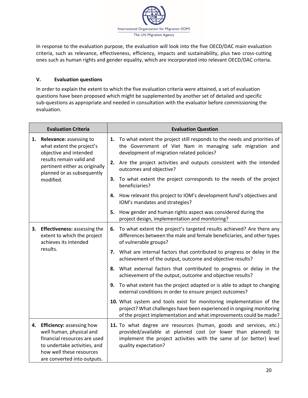

In response to the evaluation purpose, the evaluation will look into the five OECD/DAC main evaluation criteria, such as relevance, effectiveness, efficiency, impacts and sustainability, plus two cross-cutting ones such as human rights and gender equality, which are incorporated into relevant OECD/DAC criteria.

### **V. Evaluation questions**

In order to explain the extent to which the five evaluation criteria were attained, a set of evaluation questions have been proposed which might be supplemented by another set of detailed and specific sub-questions as appropriate and needed in consultation with the evaluator before commissioning the evaluation.

|    | <b>Evaluation Criteria</b>                                                                                                                                                          |    | <b>Evaluation Question</b>                                                                                                                                                                                                         |
|----|-------------------------------------------------------------------------------------------------------------------------------------------------------------------------------------|----|------------------------------------------------------------------------------------------------------------------------------------------------------------------------------------------------------------------------------------|
|    | 1. Relevance: assessing to<br>what extent the project's<br>objective and intended                                                                                                   |    | 1. To what extent the project still responds to the needs and priorities of<br>the Government of Viet Nam in managing safe migration and<br>development of migration related policies?                                             |
|    | results remain valid and<br>pertinent either as originally<br>planned or as subsequently                                                                                            |    | 2. Are the project activities and outputs consistent with the intended<br>outcomes and objective?                                                                                                                                  |
|    | modified.                                                                                                                                                                           | 3. | To what extent the project corresponds to the needs of the project<br>beneficiaries?                                                                                                                                               |
|    |                                                                                                                                                                                     |    | 4. How relevant this project to IOM's development fund's objectives and<br>IOM's mandates and strategies?                                                                                                                          |
|    |                                                                                                                                                                                     | 5. | How gender and human rights aspect was considered during the<br>project design, implementation and monitoring?                                                                                                                     |
| 3. | <b>Effectiveness: assessing the</b><br>extent to which the project<br>achieves its intended                                                                                         |    | 6. To what extent the project's targeted results achieved? Are there any<br>differences between the male and female beneficiaries, and other types<br>of vulnerable groups?                                                        |
|    | results.                                                                                                                                                                            |    | 7. What are internal factors that contributed to progress or delay in the<br>achievement of the output, outcome and objective results?                                                                                             |
|    |                                                                                                                                                                                     | 8. | What external factors that contributed to progress or delay in the<br>achievement of the output, outcome and objective results?                                                                                                    |
|    |                                                                                                                                                                                     |    | 9. To what extent has the project adapted or is able to adapt to changing<br>external conditions in order to ensure project outcomes?                                                                                              |
|    |                                                                                                                                                                                     |    | 10. What system and tools exist for monitoring implementation of the<br>project? What challenges have been experienced in ongoing monitoring<br>of the project implementation and what improvements could be made?                 |
|    | 4. Efficiency: assessing how<br>well human, physical and<br>financial resources are used<br>to undertake activities, and<br>how well these resources<br>are converted into outputs. |    | 11. To what degree are resources (human, goods and services, etc.)<br>provided/available at planned cost (or lower than planned) to<br>implement the project activities with the same of (or better) level<br>quality expectation? |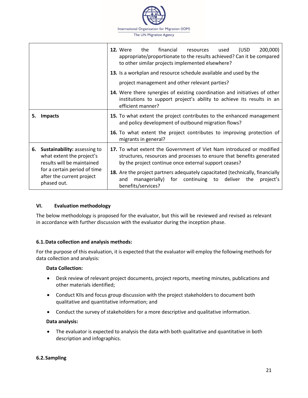

|                                                                                                                                                                                                                                                                                                         |                                                                          | financial<br><b>12.</b> Were<br>200,000)<br>the<br>(USD<br>resources<br>used<br>appropriate/proportionate to the results achieved? Can it be compared<br>to other similar projects implemented elsewhere? |  |  |  |  |
|---------------------------------------------------------------------------------------------------------------------------------------------------------------------------------------------------------------------------------------------------------------------------------------------------------|--------------------------------------------------------------------------|-----------------------------------------------------------------------------------------------------------------------------------------------------------------------------------------------------------|--|--|--|--|
|                                                                                                                                                                                                                                                                                                         |                                                                          | 13. Is a workplan and resource schedule available and used by the                                                                                                                                         |  |  |  |  |
|                                                                                                                                                                                                                                                                                                         |                                                                          | project management and other relevant parties?                                                                                                                                                            |  |  |  |  |
|                                                                                                                                                                                                                                                                                                         |                                                                          | <b>14.</b> Were there synergies of existing coordination and initiatives of other<br>institutions to support project's ability to achieve its results in an<br>efficient manner?                          |  |  |  |  |
| 5.                                                                                                                                                                                                                                                                                                      | <b>Impacts</b>                                                           | 15. To what extent the project contributes to the enhanced management<br>and policy development of outbound migration flows?                                                                              |  |  |  |  |
|                                                                                                                                                                                                                                                                                                         |                                                                          | 16. To what extent the project contributes to improving protection of<br>migrants in general?                                                                                                             |  |  |  |  |
| 17. To what extent the Government of Viet Nam introduced or modified<br>Sustainability: assessing to<br>6.<br>what extent the project's<br>structures, resources and processes to ensure that benefits generated<br>results will be maintained<br>by the project continue once external support ceases? |                                                                          |                                                                                                                                                                                                           |  |  |  |  |
|                                                                                                                                                                                                                                                                                                         | for a certain period of time<br>after the current project<br>phased out. | 18. Are the project partners adequately capacitated (technically, financially<br>managerially) for continuing to deliver<br>the<br>project's<br>and<br>benefits/services?                                 |  |  |  |  |

#### **VI. Evaluation methodology**

The below methodology is proposed for the evaluator, but this will be reviewed and revised as relevant in accordance with further discussion with the evaluator during the inception phase.

#### **6.1.Data collection and analysis methods:**

For the purpose of this evaluation, it is expected that the evaluator will employ the following methods for data collection and analysis:

#### **Data Collection:**

- Desk review of relevant project documents, project reports, meeting minutes, publications and other materials identified;
- Conduct KIIs and focus group discussion with the project stakeholders to document both qualitative and quantitative information; and
- Conduct the survey of stakeholders for a more descriptive and qualitative information.

#### **Data analysis:**

• The evaluator is expected to analysis the data with both qualitative and quantitative in both description and infographics.

#### **6.2.Sampling**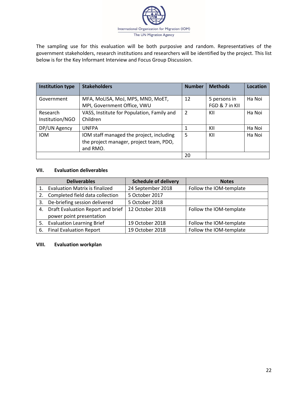

The sampling use for this evaluation will be both purposive and random. Representatives of the government stakeholders, research institutions and researchers will be identified by the project. This list below is for the Key Informant Interview and Focus Group Discussion.

| <b>Institution type</b>     | <b>Stakeholders</b>                                                                             | <b>Number</b>  | <b>Methods</b>                 | Location |
|-----------------------------|-------------------------------------------------------------------------------------------------|----------------|--------------------------------|----------|
| Government                  | MFA, MoLISA, MoJ, MPS, MND, MoET,<br>MPI, Government Office, VWU                                | 12             | 5 persons in<br>FGD & 7 in KII | Ha Noi   |
| Research<br>Institution/NGO | VASS, Institute for Population, Family and<br>Children                                          | $\overline{2}$ | KII                            | Ha Noi   |
| DP/UN Agency                | <b>UNFPA</b>                                                                                    |                | KII                            | Ha Noi   |
| <b>IOM</b>                  | IOM staff managed the project, including<br>the project manager, project team, PDO,<br>and RMO. | 5              | KII                            | Ha Noi   |
|                             |                                                                                                 | 20             |                                |          |

#### **VII. Evaluation deliverables**

|    | <b>Deliverables</b>                   | <b>Schedule of delivery</b> | <b>Notes</b>            |
|----|---------------------------------------|-----------------------------|-------------------------|
| 1. | <b>Evaluation Matrix is finalized</b> | 24 September 2018           | Follow the IOM-template |
|    | 2. Completed field data collection    | 5 October 2017              |                         |
| 3. | De-briefing session delivered         | 5 October 2018              |                         |
| 4. | Draft Evaluation Report and brief     | 12 October 2018             | Follow the IOM-template |
|    | power point presentation              |                             |                         |
|    | 5. Evaluation Learning Brief          | 19 October 2018             | Follow the IOM-template |
| 6. | <b>Final Evaluation Report</b>        | 19 October 2018             | Follow the IOM-template |

#### **VIII. Evaluation workplan**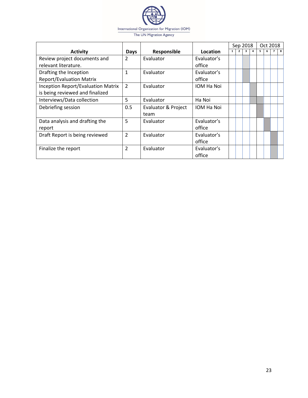

|                                           |                |                                |             | Sep 2018     |                |              | Oct 2018       |   |  |   |
|-------------------------------------------|----------------|--------------------------------|-------------|--------------|----------------|--------------|----------------|---|--|---|
| <b>Activity</b>                           | Days           | Responsible                    | Location    | $\mathbf{1}$ | $\overline{2}$ | $\mathbf{3}$ | $\overline{a}$ | 5 |  | 8 |
| Review project documents and              | $\overline{2}$ | Evaluator                      | Evaluator's |              |                |              |                |   |  |   |
| relevant literature.                      |                |                                | office      |              |                |              |                |   |  |   |
| Drafting the Inception                    | 1              | Evaluator                      | Evaluator's |              |                |              |                |   |  |   |
| <b>Report/Evaluation Matrix</b>           |                |                                | office      |              |                |              |                |   |  |   |
| <b>Inception Report/Evaluation Matrix</b> | $\overline{2}$ | Evaluator                      | IOM Ha Noi  |              |                |              |                |   |  |   |
| is being reviewed and finalized           |                |                                |             |              |                |              |                |   |  |   |
| Interviews/Data collection                | 5              | Evaluator                      | Ha Noi      |              |                |              |                |   |  |   |
| Debriefing session                        | 0.5            | <b>Evaluator &amp; Project</b> | IOM Ha Noi  |              |                |              |                |   |  |   |
|                                           |                | team                           |             |              |                |              |                |   |  |   |
| Data analysis and drafting the            | 5              | Evaluator                      | Evaluator's |              |                |              |                |   |  |   |
| report                                    |                |                                | office      |              |                |              |                |   |  |   |
| Draft Report is being reviewed            | $\overline{2}$ | Evaluator                      | Evaluator's |              |                |              |                |   |  |   |
|                                           |                |                                | office      |              |                |              |                |   |  |   |
| Finalize the report                       | $\mathcal{P}$  | Evaluator<br>Evaluator's       |             |              |                |              |                |   |  |   |
|                                           |                |                                | office      |              |                |              |                |   |  |   |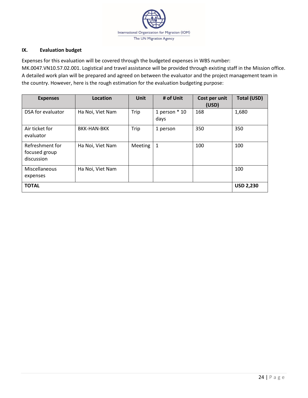

### **IX. Evaluation budget**

Expenses for this evaluation will be covered through the budgeted expenses in WBS number:

MK.0047.VN10.57.02.001. Logistical and travel assistance will be provided through existing staff in the Mission office. A detailed work plan will be prepared and agreed on between the evaluator and the project management team in the country. However, here is the rough estimation for the evaluation budgeting purpose:

| <b>Expenses</b>                                | Location           | <b>Unit</b>    | # of Unit               | Cost per unit<br>(USD) | <b>Total (USD)</b> |
|------------------------------------------------|--------------------|----------------|-------------------------|------------------------|--------------------|
| DSA for evaluator                              | Ha Noi, Viet Nam   | Trip           | 1 person $*$ 10<br>days | 168                    | 1,680              |
| Air ticket for<br>evaluator                    | <b>BKK-HAN-BKK</b> | Trip           | 1 person                | 350                    | 350                |
| Refreshment for<br>focused group<br>discussion | Ha Noi, Viet Nam   | <b>Meeting</b> | 1                       | 100                    | 100                |
| Miscellaneous<br>expenses                      | Ha Noi, Viet Nam   |                |                         |                        | 100                |
| <b>TOTAL</b>                                   |                    |                |                         |                        | <b>USD 2,230</b>   |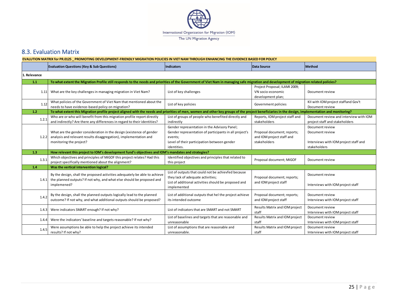

### 8.3. Evaluation Matrix

<span id="page-29-0"></span>

| EVALUTION MATRIX for PR.0125 PROMOTING DEVELOPMENT-FRIENDLY MIGRATION POLICIES IN VIET NAM THROUGH ENHANCING THE EVIDENCE BASED FOR POLICY |                                                                                                                                                                                                   |                                                                                                                                                                                 |                                                                          |                                                                                             |
|--------------------------------------------------------------------------------------------------------------------------------------------|---------------------------------------------------------------------------------------------------------------------------------------------------------------------------------------------------|---------------------------------------------------------------------------------------------------------------------------------------------------------------------------------|--------------------------------------------------------------------------|---------------------------------------------------------------------------------------------|
|                                                                                                                                            | <b>Evaluation Questions (Key &amp; Sub Questions)</b>                                                                                                                                             | <b>Indicators</b>                                                                                                                                                               | Data Source                                                              | <b>Method</b>                                                                               |
| Relevance                                                                                                                                  |                                                                                                                                                                                                   |                                                                                                                                                                                 |                                                                          |                                                                                             |
| 1.1                                                                                                                                        | To what extent the Migration Profile still responds to the needs and priorities of the Government of Viet Nam in managing safe migration and development of migration related policies?           |                                                                                                                                                                                 |                                                                          |                                                                                             |
|                                                                                                                                            | 1.11 What are the key challenges in managing migration in Viet Nam?                                                                                                                               | List of key challenges                                                                                                                                                          | Project Proposal; ILAMI 2009;<br>VN socio-economic<br>development plan;  | Document review                                                                             |
| 1.12                                                                                                                                       | What policies of the Government of Viet Nam that mentioned about the<br>needs to have evidence-based policy on migration?                                                                         | List of key policies                                                                                                                                                            | Government policies                                                      | KII with IOM project staffand Gov't<br>Document review                                      |
| 1.2                                                                                                                                        | To what extent this Migration profile project aligned with the needs and priorities of men, women and other key groups of the project beneficiaries in the design, implementation and monitoring? |                                                                                                                                                                                 |                                                                          |                                                                                             |
| 1.2.1                                                                                                                                      | Who are or who will benefit from this migration profile report directly<br>and indirectly? Are there any differences in regard to their identities?                                               | List of groups of people who benefited directly and<br>indirectly                                                                                                               | Reports, IOM project staff and<br>stakeholders                           | Document review and interview with IOM<br>project staff and stakeholders                    |
| 1.2.2                                                                                                                                      | What are the gender consideration in the design (existence of gender<br>analysis and relevant results disaggregation), implementation and<br>monitoring the project?                              | Gender representation in the Advisory Panel;<br>Gender representation of participants in all project's<br>events;<br>Level of their participation between gender<br>identities. | Proposal document; reports;<br>and IOM project staff and<br>stakeholders | Document review<br>Document review<br>Interviews with IOM project staff and<br>stakeholders |
| 1.3                                                                                                                                        | How relevant this project to IOM's development fund's objectives and IOM's mandates and strategies?                                                                                               |                                                                                                                                                                                 |                                                                          |                                                                                             |
| 1.3.1                                                                                                                                      | Which objectives and principles of MiGOF this project relates? Had this<br>project specifically mentioned about the alignment?                                                                    | Identified objectives and principles that related to<br>this project                                                                                                            | Proposal document; MiGOF                                                 | Document review                                                                             |
| 1.4                                                                                                                                        | Was the vertical intervention logical?                                                                                                                                                            |                                                                                                                                                                                 |                                                                          |                                                                                             |
| 1.4.1                                                                                                                                      | By the design, shall the proposed activities adequately be able to achieve<br>the planned outputs? If not why, and what else should be proposed and<br>implemened?                                | List of outputs that could not be achievfed because<br>they lack of adequate activities;<br>List of additional activities should be proposed and<br>implemented                 | Proposal document; reports;<br>and IOM project staff                     | Document review<br>Interviews with IOM project staff                                        |
| 1.4.2                                                                                                                                      | By the design, shall the planned outputs logically lead to the planned<br>outcome? If not why, and what additional outputs should be proposed?                                                    | List of additional outputs that hel the project achieve<br>its intended outcome                                                                                                 | Proposal document; reports;<br>and IOM project staff                     | Document review<br>Interviews with IOM project staff                                        |
| 1.4.3                                                                                                                                      | Were indicators SMART enough? If not why?                                                                                                                                                         | List of indicators that are SMART and not SMART                                                                                                                                 | Results Matrix and IOM project<br>staff                                  | Document review<br>Interviews with IOM project staff                                        |
| 1.4.4                                                                                                                                      | Were the indicators' baseline and targets reasonable? If not why?                                                                                                                                 | List of baselines and targets that are reasonable and<br>unreasonable                                                                                                           | Results Matrix and IOM project<br>staff                                  | Document review<br>Interviews with IOM project staff                                        |
| 1.4.5                                                                                                                                      | Were assumptions be able to help the project achieve its intended<br>results? If not why?                                                                                                         | List of assumptions that are reasonable and<br>unreasonable.                                                                                                                    | Results Matrix and IOM project<br>staff                                  | Document review<br>Interviews with IOM project staff                                        |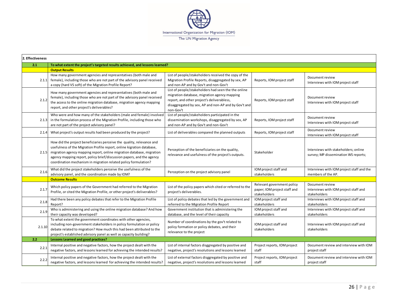

| 2. Effectiveness |                                                                                                                                                                                                                                                                                                                                                                      |                                                                                                                                                                                                                        |                                                                            |                                                                              |  |
|------------------|----------------------------------------------------------------------------------------------------------------------------------------------------------------------------------------------------------------------------------------------------------------------------------------------------------------------------------------------------------------------|------------------------------------------------------------------------------------------------------------------------------------------------------------------------------------------------------------------------|----------------------------------------------------------------------------|------------------------------------------------------------------------------|--|
| 2.1              | To what extent the project's targeted results achieved, and lessons learned?                                                                                                                                                                                                                                                                                         |                                                                                                                                                                                                                        |                                                                            |                                                                              |  |
|                  | <b>Output Results</b>                                                                                                                                                                                                                                                                                                                                                |                                                                                                                                                                                                                        |                                                                            |                                                                              |  |
| 2.1.1            | How many government agencies and representatives (both male and<br>female), including those who are not part of the advisory panel received<br>a copy (hard VS soft) of the Migration Profile Report?                                                                                                                                                                | List of people/stakeholders received the copy of the<br>Migration Profile Reports, disaggregated by sex, AP<br>and non-AP and by Gov't and non-Gov't                                                                   | Reports, IOM project staff                                                 | Document review<br>Interviews with IOM project staff                         |  |
| 2.1.2            | How many government agencies and representatives (both male and<br>female), including those who are not part of the advisory panel received<br>the access to the online migration database, migration agency mapping<br>report, and other project's deliverables?                                                                                                    | List of people/stakeholders had seen the the online<br>migration database, migration agency mapping<br>report, and other project's deliverabless,<br>disaggregated by sex, AP and non-AP and by Gov't and<br>non-Gov't | Reports, IOM project staff                                                 | Document review<br>Interviews with IOM project staff                         |  |
| 2.1.3            | Who were and how many of the stakeholders (male and female) involved<br>in the formulation process of the Migration Profile, including those who<br>are not part of the project advisory panel?                                                                                                                                                                      | List of people/stakeholders participated in the<br>dissemination workshops, disaggregated by sex, AP<br>and non-AP and by Gov't and non-Gov't                                                                          | Reports, IOM project staff                                                 | Document review<br>Interviews with IOM project staff                         |  |
| 2.1.4            | What project's output results had been produced by the project?                                                                                                                                                                                                                                                                                                      | List of deliverables compared the planned outputs                                                                                                                                                                      | Reports, IOM project staff                                                 | Document review<br>Interviews with IOM project staff                         |  |
| 2.1.5            | How did the project beneficiaries perceive the quality, relevance and<br>usefulness of the Migration Profile report, online kigration database,<br>migration agency mapping report, online migration database, migration<br>agency mapping report, policy brief/discussion papers, and the agency<br>coordination mechanism in migration related policy formulation? | Perception of the beneficiaries on the quality,<br>relevance and usefulness of the project's outputs.                                                                                                                  | Stakeholder                                                                | Interviews with stakeholders; online<br>survey; MP dissemination WS reports; |  |
| 2.1.6            | What did the project stakeholders perceive the usefulness of the<br>IOM project staff and<br>Perception on the project advisory panel<br>advisory panel, and the coordination made by IOM?<br>stakeholders                                                                                                                                                           |                                                                                                                                                                                                                        | Interviews with IOM project staff and the<br>members of the AP.            |                                                                              |  |
|                  | <b>Outcome Results</b>                                                                                                                                                                                                                                                                                                                                               |                                                                                                                                                                                                                        |                                                                            |                                                                              |  |
| 2.1.7            | Which policy papers of the Government had referred to the Migration<br>Profile, or cited the Migration Profile, or other project's deliverables?                                                                                                                                                                                                                     | List of the policy papers which cited or referred to the<br>project's deliverables.                                                                                                                                    | Relevant government policy<br>paper; IOM project staff and<br>stakeholders | Document review<br>Interviews with IOM project staff and<br>stakeholders     |  |
| 2.1.8            | Had there been any policy debates that refer to the Migration Profile<br>Report?                                                                                                                                                                                                                                                                                     | List of policy debates that led by the government and<br>referred to the Migration Profile Report                                                                                                                      | IOM project staff and<br>stakeholders                                      | Interviews with IOM project staff and<br>stakeholders                        |  |
| 2.1.9            | Who is administering and using the online migration database? And how<br>their capacity was developed?                                                                                                                                                                                                                                                               | Government institution that is administering the<br>database, and the level of their capacity                                                                                                                          | IOM project staff and<br>stakeholders                                      | Interviews with IOM project staff and<br>stakeholders                        |  |
| 2.1.10           | To what extent the government coordinates with other agencies,<br>including non-government stakeholders in policy formulation or policy<br>debate related to migration? How much this had been attributed to the<br>project's established advisory panel as well as capacity building?                                                                               | Number of coordinations by the gov't related to<br>policy formation or policy debates, and their<br>relevance to the project                                                                                           | IOM project staff and<br>stakeholders                                      | Interviews with IOM project staff and<br>stakeholders                        |  |
| $2.2^{\circ}$    | Lessons Learned and good practices?                                                                                                                                                                                                                                                                                                                                  |                                                                                                                                                                                                                        |                                                                            |                                                                              |  |
| 2.2.1            | Internal positive and negative factors, how the project dealt with the<br>negative factors, and lessons learned for achieving the intended results?                                                                                                                                                                                                                  | List of internal factors disggregated by positive and<br>negative, project's resolutions and lessons learned                                                                                                           | Project reports, IOM project<br>staff                                      | Document review and interview with IOM<br>project staff                      |  |
| 2.2.2            | Internal positive and negative factors, how the project dealt with the<br>negative factors, and lessons learned for achieving the intended results?                                                                                                                                                                                                                  | List of external factors disggregated by positive and<br>negative, project's resolutions and lessons learned                                                                                                           | Project reports, IOM project<br>staff                                      | Document review and interview with IOM<br>project staff                      |  |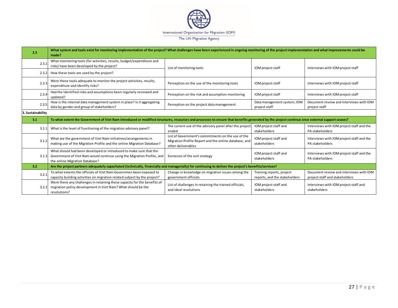

| 2.3               | What system and tools exist for monitoring implementation of the project? What challenges have been experienced in ongoing monitoring of the project implementation and what improvements could be<br>made?                                                                                                                                |                                                                                                            |                                                              |                                                                           |
|-------------------|--------------------------------------------------------------------------------------------------------------------------------------------------------------------------------------------------------------------------------------------------------------------------------------------------------------------------------------------|------------------------------------------------------------------------------------------------------------|--------------------------------------------------------------|---------------------------------------------------------------------------|
| 2.3.1             | What monitoring tools (for activities, results, budget/expenditure and<br>risks) have been developed by the project?                                                                                                                                                                                                                       | List of monitoring tools                                                                                   | IOM project staff                                            | Interviews with IOM project staff                                         |
| 2.3.2             | How these tools are used by the project?                                                                                                                                                                                                                                                                                                   |                                                                                                            |                                                              |                                                                           |
| 2.3.3             | Were these tools adequate to monitor the project activities, results,<br>expenditure and identify risks?                                                                                                                                                                                                                                   | Perception on the use of the monitoring tools                                                              | IOM project staff                                            | Interviews with IOM project staff                                         |
| 2.3.4             | Had the identified risks and assumptions been regularly reviewed and<br>updated?                                                                                                                                                                                                                                                           | Perception on the risk and assumption monitoring<br>Interviews with IOM project staff<br>IOM project staff |                                                              |                                                                           |
| 2.3.5             | How is the internal data management system in place? Is it aggregating<br>data by gender and group of stakeholders?                                                                                                                                                                                                                        | Data management system; IOM<br>Perception on the project data management<br>project staff<br>project staff |                                                              | Document review and interviews with IOM                                   |
| 3. Sustainability |                                                                                                                                                                                                                                                                                                                                            |                                                                                                            |                                                              |                                                                           |
| 3.1               | To what extent the Government of Viet Nam introduced or modified structures, resources and processes to ensure that benefits generated by the project continue once external support ceases?                                                                                                                                               |                                                                                                            |                                                              |                                                                           |
| 3.1.1             | What is the level of functioning of the migration advisory panel?                                                                                                                                                                                                                                                                          | The current use of the advisory panel after the project<br>ended                                           | IOM project staff and<br>stakeholders                        | Interviews with IOM project staff and the<br>PA stakeholders              |
| 3.1.2             | List of Government's commitments on the use of the<br>What are the government of Viet Nam initiatives/arrangements in<br>IOM project staff and<br>Migration Profile Report and the online database, and<br>making use of the Migration Profile and the online Migration Database?<br>stakeholders<br>PA stakeholders<br>other deliverables |                                                                                                            | Interviews with IOM project staff and the                    |                                                                           |
|                   | What should had been developed or introduced to make sure that the<br>IOM project staff and<br>Government of Viet Nam would continue using the Migration Profile, and<br>Existence of the exit strategy<br>3.1.3<br>stakeholders<br>the online Migration Database?                                                                         |                                                                                                            | Interviews with IOM project staff and the<br>PA stakeholders |                                                                           |
| 3.2               | Are the project partners adequately capacitated (technically, financially and managerially) for continuing to deliver the project's benefits/services?                                                                                                                                                                                     |                                                                                                            |                                                              |                                                                           |
| 3.2.1             | To what extents the officials of Viet Nam Governmen been exposed to<br>capacity building activities on migration related subject by the project?                                                                                                                                                                                           | Change in knowledge on migration issues among the<br>government officials                                  | Training reports, project<br>reports, and the stakeholders   | Document review and interviews with IOM<br>project staff and stakeholders |
| 3.2.2             | Were there any challenges in retaining these capacity for the benefits of<br>migration policy development in Viet Nam? What should be the<br>resolutions?                                                                                                                                                                                  | List of challenges in retaining the trained officials,<br>and ideal resolutions                            | IOM project staff and<br>stakeholders                        | Interviews with IOM project staff and<br>stakeholders                     |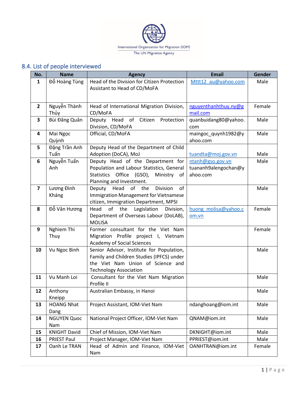

## <span id="page-32-0"></span>8.4. List of people interviewed

| No.                     | <b>Name</b>                | <b>Agency</b>                                                     | <b>Email</b>                       | Gender |
|-------------------------|----------------------------|-------------------------------------------------------------------|------------------------------------|--------|
| $\mathbf{1}$            | Đỗ Hoàng Tùng              | Head of the Division for Citizen Protection                       | Mttt12 au@yahoo.com                | Male   |
|                         |                            | Assistant to Head of CD/MoFA                                      |                                    |        |
|                         |                            |                                                                   |                                    |        |
| $\mathbf{2}$            | Nguyễn Thành               | Head of International Migration Division,                         |                                    | Female |
|                         | Thủy                       | CD/MoFA                                                           | nguyenthanhthuy.ny@g<br>mail.com   |        |
| 3                       | Bùi Đăng Quân              | Deputy Head of Citizen Protection                                 | quanbuidang80@yahoo.               | Male   |
|                         |                            | Division, CD/MoFA                                                 | com                                |        |
| 4                       | Mai Ngọc                   | Official, CD/MoFA                                                 | maingoc_quynh1982@y                | Male   |
|                         | Quỳnh                      |                                                                   | ahoo.com                           |        |
| 5                       | Đặng Trần Anh              | Deputy Head of the Department of Child                            |                                    |        |
|                         | Tuấn                       | Adoption (DoCA), MoJ                                              | tuandta@moj.gov.vn                 | Male   |
| 6                       | Nguyễn Tuấn                | Deputy Head of the Department for                                 | ntanh@gso.gov.vn                   | Male   |
|                         | Anh                        | Population and Labour Statistics, General<br>tuananh9alengochan@y |                                    |        |
|                         |                            | Statistics Office (GSO),<br>Ministry of                           | ahoo.com                           |        |
|                         |                            | Planning and Investment.                                          |                                    |        |
| $\overline{\mathbf{z}}$ | Lương Đình                 | Deputy Head of the<br>Division<br>of                              |                                    | Male   |
|                         | Kháng                      | Immigration Management for Vietnamese                             |                                    |        |
|                         |                            | citizen, Immigration Department, MPSI                             |                                    |        |
| 8                       | Đỗ Vân Hương               | of the<br>Legislation<br>Head<br>Division,                        | huong molisa@yahoo.c               | Female |
|                         |                            | Department of Overseas Labour (DoLAB),<br>om.vn                   |                                    |        |
|                         |                            | <b>MOLISA</b>                                                     |                                    |        |
| 9                       | Nghiem Thi                 | Former consultant for the Viet Nam                                |                                    | Female |
|                         | Thuy                       | Migration Profile project I, Vietnam                              |                                    |        |
|                         |                            | <b>Academy of Social Sciences</b>                                 |                                    |        |
| 10                      | Vu Ngoc Binh               | Senior Advisor, Institute for Population,                         |                                    | Male   |
|                         |                            | Family and Children Studies (IPFCS) under                         |                                    |        |
|                         |                            | the Viet Nam Union of Science and                                 |                                    |        |
|                         |                            | <b>Technology Association</b>                                     |                                    |        |
| 11                      | Vu Manh Loi                | Consultant for the Viet Nam Migration                             |                                    | Male   |
|                         |                            | Profile II                                                        |                                    |        |
| 12                      | Anthony                    | Australian Embassy, in Hanoi                                      |                                    | Male   |
|                         | Kneipp                     |                                                                   |                                    |        |
| 13                      | <b>HOANG Nhat</b>          | Project Assistant, IOM-Viet Nam                                   | ndanghoang@iom.int                 | Male   |
|                         | Dang                       |                                                                   |                                    |        |
| 14                      | <b>NGUYEN Quoc</b>         | National Project Officer, IOM-Viet Nam                            | QNAM@iom.int                       | Male   |
|                         | Nam<br><b>KNIGHT David</b> |                                                                   |                                    |        |
| 15                      |                            | Chief of Mission, IOM-Viet Nam                                    | DKNIGHT@iom.int<br>PPRIEST@iom.int | Male   |
| 16                      | <b>PRIEST Paul</b>         | Project Manager, IOM-Viet Nam                                     |                                    | Male   |
| 17                      | Oanh Le TRAN               | Head of Admin and Finance, IOM-Viet                               | OANHTRAN@iom.int                   | Female |
|                         |                            | Nam                                                               |                                    |        |